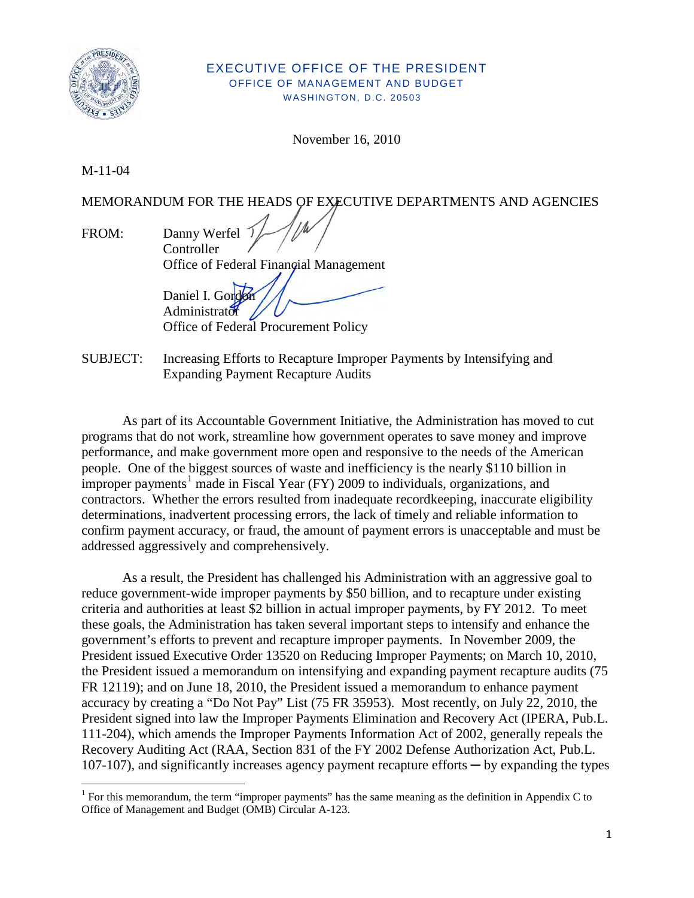

#### EXECUTIVE OFFICE OF THE PRESIDENT OFFICE OF MANAGEMENT AND BUDGET WASHINGTON, D.C. 20503

November 16, 2010

M-11-04

l

MEMORANDUM FOR THE HEADS OF EXECUTIVE DEPARTMENTS AND AGENCIES

FROM: Danny Werfel **Controller** Office of Federal Financial Management

Daniel I. Gordo Administrator  $\overline{A}$ Office of Federal Procurement Policy

SUBJECT: Increasing Efforts to Recapture Improper Payments by Intensifying and Expanding Payment Recapture Audits

As part of its Accountable Government Initiative, the Administration has moved to cut programs that do not work, streamline how government operates to save money and improve performance, and make government more open and responsive to the needs of the American people. One of the biggest sources of waste and inefficiency is the nearly \$110 billion in improper payments<sup>[1](#page-0-0)</sup> made in Fiscal Year (FY) 2009 to individuals, organizations, and contractors. Whether the errors resulted from inadequate recordkeeping, inaccurate eligibility determinations, inadvertent processing errors, the lack of timely and reliable information to confirm payment accuracy, or fraud, the amount of payment errors is unacceptable and must be addressed aggressively and comprehensively.

As a result, the President has challenged his Administration with an aggressive goal to reduce government-wide improper payments by \$50 billion, and to recapture under existing criteria and authorities at least \$2 billion in actual improper payments, by FY 2012. To meet these goals, the Administration has taken several important steps to intensify and enhance the government's efforts to prevent and recapture improper payments. In November 2009, the President issued Executive Order 13520 on Reducing Improper Payments; on March 10, 2010, the President issued a memorandum on intensifying and expanding payment recapture audits (75 FR 12119); and on June 18, 2010, the President issued a memorandum to enhance payment accuracy by creating a "Do Not Pay" List (75 FR 35953). Most recently, on July 22, 2010, the President signed into law the Improper Payments Elimination and Recovery Act (IPERA, Pub.L. 111-204), which amends the Improper Payments Information Act of 2002, generally repeals the Recovery Auditing Act (RAA, Section 831 of the FY 2002 Defense Authorization Act, Pub.L. 107-107), and significantly increases agency payment recapture efforts — by expanding the types

<span id="page-0-0"></span><sup>&</sup>lt;sup>1</sup> For this memorandum, the term "improper payments" has the same meaning as the definition in Appendix C to Office of Management and Budget (OMB) Circular A-123.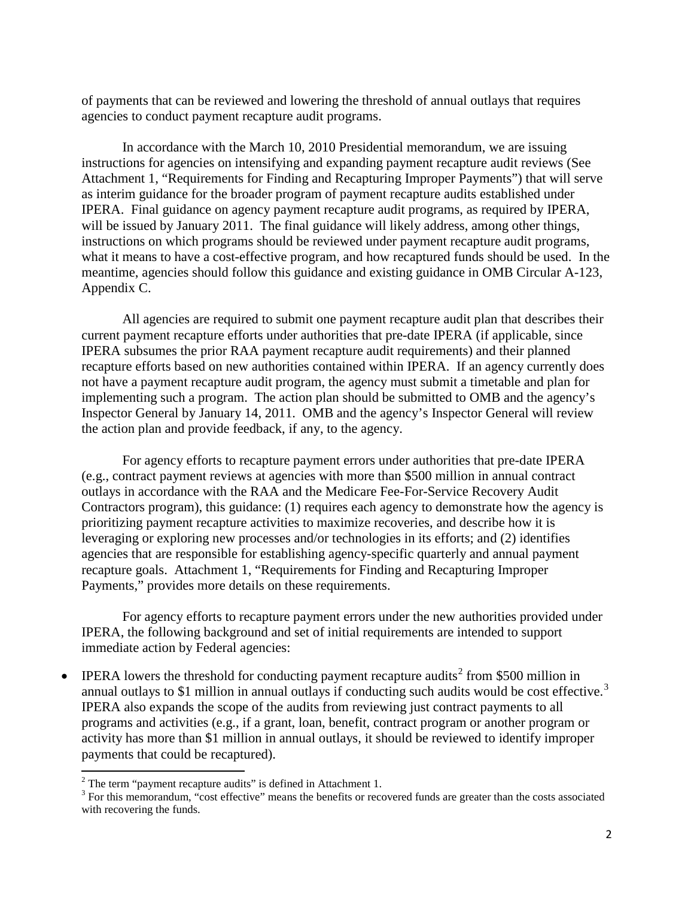of payments that can be reviewed and lowering the threshold of annual outlays that requires agencies to conduct payment recapture audit programs.

In accordance with the March 10, 2010 Presidential memorandum, we are issuing instructions for agencies on intensifying and expanding payment recapture audit reviews (See Attachment 1, "Requirements for Finding and Recapturing Improper Payments") that will serve as interim guidance for the broader program of payment recapture audits established under IPERA. Final guidance on agency payment recapture audit programs, as required by IPERA, will be issued by January 2011. The final guidance will likely address, among other things, instructions on which programs should be reviewed under payment recapture audit programs, what it means to have a cost-effective program, and how recaptured funds should be used. In the meantime, agencies should follow this guidance and existing guidance in OMB Circular A-123, Appendix C.

All agencies are required to submit one payment recapture audit plan that describes their current payment recapture efforts under authorities that pre-date IPERA (if applicable, since IPERA subsumes the prior RAA payment recapture audit requirements) and their planned recapture efforts based on new authorities contained within IPERA. If an agency currently does not have a payment recapture audit program, the agency must submit a timetable and plan for implementing such a program. The action plan should be submitted to OMB and the agency's Inspector General by January 14, 2011. OMB and the agency's Inspector General will review the action plan and provide feedback, if any, to the agency.

For agency efforts to recapture payment errors under authorities that pre-date IPERA (e.g., contract payment reviews at agencies with more than \$500 million in annual contract outlays in accordance with the RAA and the Medicare Fee-For-Service Recovery Audit Contractors program), this guidance: (1) requires each agency to demonstrate how the agency is prioritizing payment recapture activities to maximize recoveries, and describe how it is leveraging or exploring new processes and/or technologies in its efforts; and (2) identifies agencies that are responsible for establishing agency-specific quarterly and annual payment recapture goals. Attachment 1, "Requirements for Finding and Recapturing Improper Payments," provides more details on these requirements.

For agency efforts to recapture payment errors under the new authorities provided under IPERA, the following background and set of initial requirements are intended to support immediate action by Federal agencies:

• IPERA lowers the threshold for conducting payment recapture audits<sup>[2](#page-1-0)</sup> from \$500 million in annual outlays to \$1 million in annual outlays if conducting such audits would be cost effective.<sup>[3](#page-1-1)</sup> IPERA also expands the scope of the audits from reviewing just contract payments to all programs and activities (e.g., if a grant, loan, benefit, contract program or another program or activity has more than \$1 million in annual outlays, it should be reviewed to identify improper payments that could be recaptured).

 $\overline{\phantom{a}}$ 

<span id="page-1-0"></span> $2$  The term "payment recapture audits" is defined in Attachment 1.

<span id="page-1-1"></span><sup>&</sup>lt;sup>3</sup> For this memorandum, "cost effective" means the benefits or recovered funds are greater than the costs associated with recovering the funds.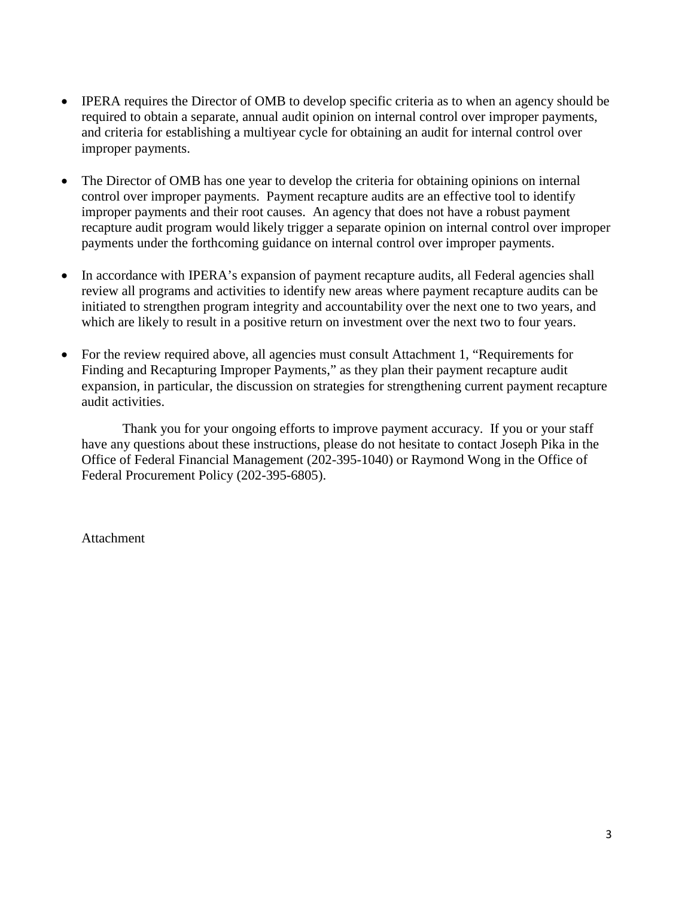- IPERA requires the Director of OMB to develop specific criteria as to when an agency should be required to obtain a separate, annual audit opinion on internal control over improper payments, and criteria for establishing a multiyear cycle for obtaining an audit for internal control over improper payments.
- The Director of OMB has one year to develop the criteria for obtaining opinions on internal control over improper payments. Payment recapture audits are an effective tool to identify improper payments and their root causes. An agency that does not have a robust payment recapture audit program would likely trigger a separate opinion on internal control over improper payments under the forthcoming guidance on internal control over improper payments.
- In accordance with IPERA's expansion of payment recapture audits, all Federal agencies shall review all programs and activities to identify new areas where payment recapture audits can be initiated to strengthen program integrity and accountability over the next one to two years, and which are likely to result in a positive return on investment over the next two to four years.
- For the review required above, all agencies must consult Attachment 1, "Requirements for Finding and Recapturing Improper Payments," as they plan their payment recapture audit expansion, in particular, the discussion on strategies for strengthening current payment recapture audit activities.

Thank you for your ongoing efforts to improve payment accuracy. If you or your staff have any questions about these instructions, please do not hesitate to contact Joseph Pika in the Office of Federal Financial Management (202-395-1040) or Raymond Wong in the Office of Federal Procurement Policy (202-395-6805).

Attachment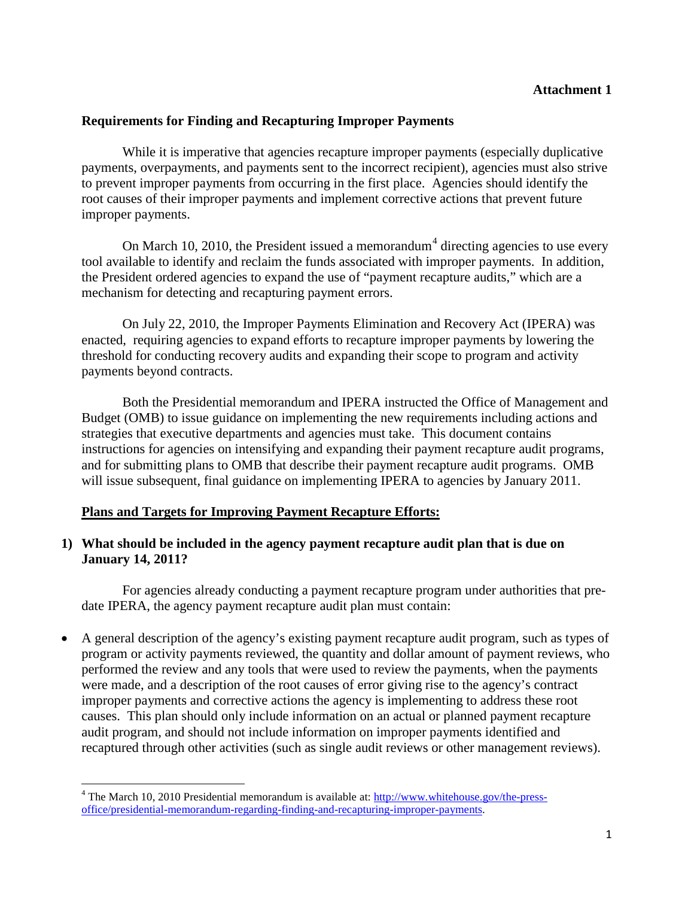# **Requirements for Finding and Recapturing Improper Payments**

While it is imperative that agencies recapture improper payments (especially duplicative payments, overpayments, and payments sent to the incorrect recipient), agencies must also strive to prevent improper payments from occurring in the first place. Agencies should identify the root causes of their improper payments and implement corrective actions that prevent future improper payments.

On March 10, 2010, the President issued a memorandum<sup>[4](#page-3-0)</sup> directing agencies to use every tool available to identify and reclaim the funds associated with improper payments. In addition, the President ordered agencies to expand the use of "payment recapture audits," which are a mechanism for detecting and recapturing payment errors.

 On July 22, 2010, the Improper Payments Elimination and Recovery Act (IPERA) was enacted, requiring agencies to expand efforts to recapture improper payments by lowering the threshold for conducting recovery audits and expanding their scope to program and activity payments beyond contracts.

 Both the Presidential memorandum and IPERA instructed the Office of Management and Budget (OMB) to issue guidance on implementing the new requirements including actions and strategies that executive departments and agencies must take. This document contains instructions for agencies on intensifying and expanding their payment recapture audit programs, and for submitting plans to OMB that describe their payment recapture audit programs. OMB will issue subsequent, final guidance on implementing IPERA to agencies by January 2011.

# **Plans and Targets for Improving Payment Recapture Efforts:**

l

### **1) What should be included in the agency payment recapture audit plan that is due on January 14, 2011?**

 For agencies already conducting a payment recapture program under authorities that predate IPERA, the agency payment recapture audit plan must contain:

• A general description of the agency's existing payment recapture audit program, such as types of program or activity payments reviewed, the quantity and dollar amount of payment reviews, who performed the review and any tools that were used to review the payments, when the payments were made, and a description of the root causes of error giving rise to the agency's contract improper payments and corrective actions the agency is implementing to address these root causes. This plan should only include information on an actual or planned payment recapture audit program, and should not include information on improper payments identified and recaptured through other activities (such as single audit reviews or other management reviews).

<span id="page-3-0"></span><sup>&</sup>lt;sup>4</sup> The March 10, 2010 Presidential memorandum is available at:  $\frac{http://www.whitehouse.gov/the-press$ [office/presidential-memorandum-regarding-finding-and-recapturing-improper-payments.](http://www.whitehouse.gov/the-press-office/presidential-memorandum-regarding-finding-and-recapturing-improper-payments)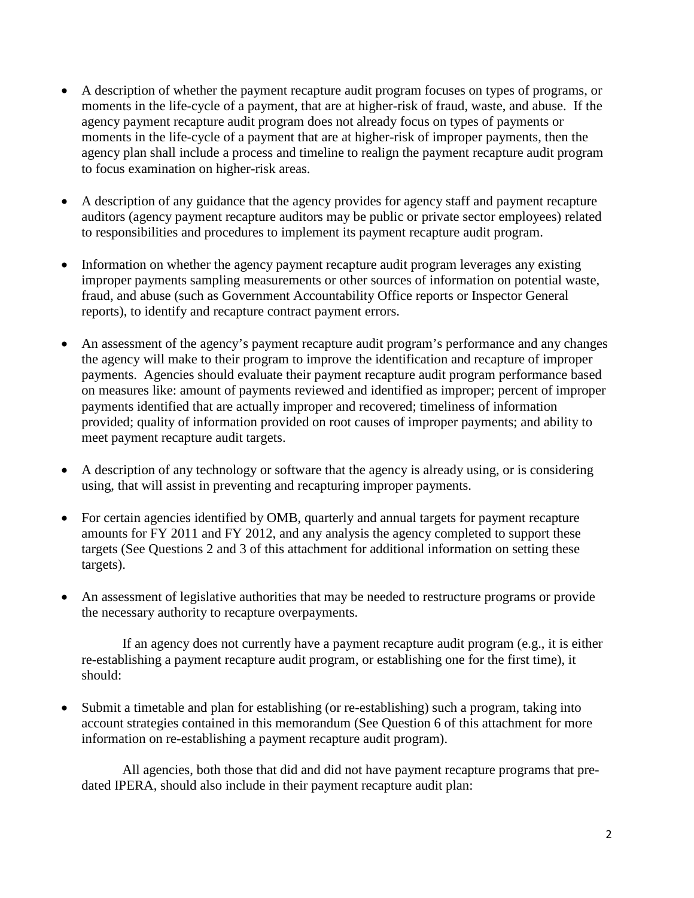- A description of whether the payment recapture audit program focuses on types of programs, or moments in the life-cycle of a payment, that are at higher-risk of fraud, waste, and abuse. If the agency payment recapture audit program does not already focus on types of payments or moments in the life-cycle of a payment that are at higher-risk of improper payments, then the agency plan shall include a process and timeline to realign the payment recapture audit program to focus examination on higher-risk areas.
- A description of any guidance that the agency provides for agency staff and payment recapture auditors (agency payment recapture auditors may be public or private sector employees) related to responsibilities and procedures to implement its payment recapture audit program.
- Information on whether the agency payment recapture audit program leverages any existing improper payments sampling measurements or other sources of information on potential waste, fraud, and abuse (such as Government Accountability Office reports or Inspector General reports), to identify and recapture contract payment errors.
- An assessment of the agency's payment recapture audit program's performance and any changes the agency will make to their program to improve the identification and recapture of improper payments. Agencies should evaluate their payment recapture audit program performance based on measures like: amount of payments reviewed and identified as improper; percent of improper payments identified that are actually improper and recovered; timeliness of information provided; quality of information provided on root causes of improper payments; and ability to meet payment recapture audit targets.
- A description of any technology or software that the agency is already using, or is considering using, that will assist in preventing and recapturing improper payments.
- For certain agencies identified by OMB, quarterly and annual targets for payment recapture amounts for FY 2011 and FY 2012, and any analysis the agency completed to support these targets (See Questions 2 and 3 of this attachment for additional information on setting these targets).
- An assessment of legislative authorities that may be needed to restructure programs or provide the necessary authority to recapture overpayments.

 If an agency does not currently have a payment recapture audit program (e.g., it is either re-establishing a payment recapture audit program, or establishing one for the first time), it should:

• Submit a timetable and plan for establishing (or re-establishing) such a program, taking into account strategies contained in this memorandum (See Question 6 of this attachment for more information on re-establishing a payment recapture audit program).

 All agencies, both those that did and did not have payment recapture programs that predated IPERA, should also include in their payment recapture audit plan: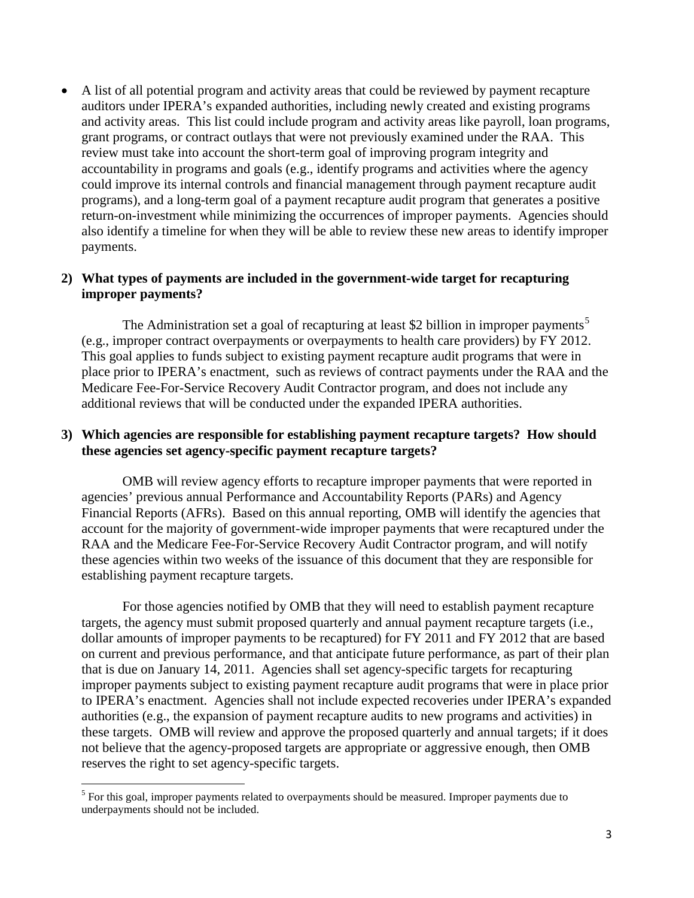• A list of all potential program and activity areas that could be reviewed by payment recapture auditors under IPERA's expanded authorities, including newly created and existing programs and activity areas. This list could include program and activity areas like payroll, loan programs, grant programs, or contract outlays that were not previously examined under the RAA. This review must take into account the short-term goal of improving program integrity and accountability in programs and goals (e.g., identify programs and activities where the agency could improve its internal controls and financial management through payment recapture audit programs), and a long-term goal of a payment recapture audit program that generates a positive return-on-investment while minimizing the occurrences of improper payments. Agencies should also identify a timeline for when they will be able to review these new areas to identify improper payments.

#### **2) What types of payments are included in the government-wide target for recapturing improper payments?**

The Administration set a goal of recapturing at least \$2 billion in improper payments<sup>[5](#page-5-0)</sup> (e.g., improper contract overpayments or overpayments to health care providers) by FY 2012. This goal applies to funds subject to existing payment recapture audit programs that were in place prior to IPERA's enactment, such as reviews of contract payments under the RAA and the Medicare Fee-For-Service Recovery Audit Contractor program, and does not include any additional reviews that will be conducted under the expanded IPERA authorities.

#### **3) Which agencies are responsible for establishing payment recapture targets? How should these agencies set agency-specific payment recapture targets?**

OMB will review agency efforts to recapture improper payments that were reported in agencies' previous annual Performance and Accountability Reports (PARs) and Agency Financial Reports (AFRs). Based on this annual reporting, OMB will identify the agencies that account for the majority of government-wide improper payments that were recaptured under the RAA and the Medicare Fee-For-Service Recovery Audit Contractor program, and will notify these agencies within two weeks of the issuance of this document that they are responsible for establishing payment recapture targets.

 For those agencies notified by OMB that they will need to establish payment recapture targets, the agency must submit proposed quarterly and annual payment recapture targets (i.e., dollar amounts of improper payments to be recaptured) for FY 2011 and FY 2012 that are based on current and previous performance, and that anticipate future performance, as part of their plan that is due on January 14, 2011. Agencies shall set agency-specific targets for recapturing improper payments subject to existing payment recapture audit programs that were in place prior to IPERA's enactment. Agencies shall not include expected recoveries under IPERA's expanded authorities (e.g., the expansion of payment recapture audits to new programs and activities) in these targets. OMB will review and approve the proposed quarterly and annual targets; if it does not believe that the agency-proposed targets are appropriate or aggressive enough, then OMB reserves the right to set agency-specific targets.

<span id="page-5-0"></span><sup>&</sup>lt;sup>5</sup> For this goal, improper payments related to overpayments should be measured. Improper payments due to underpayments should not be included.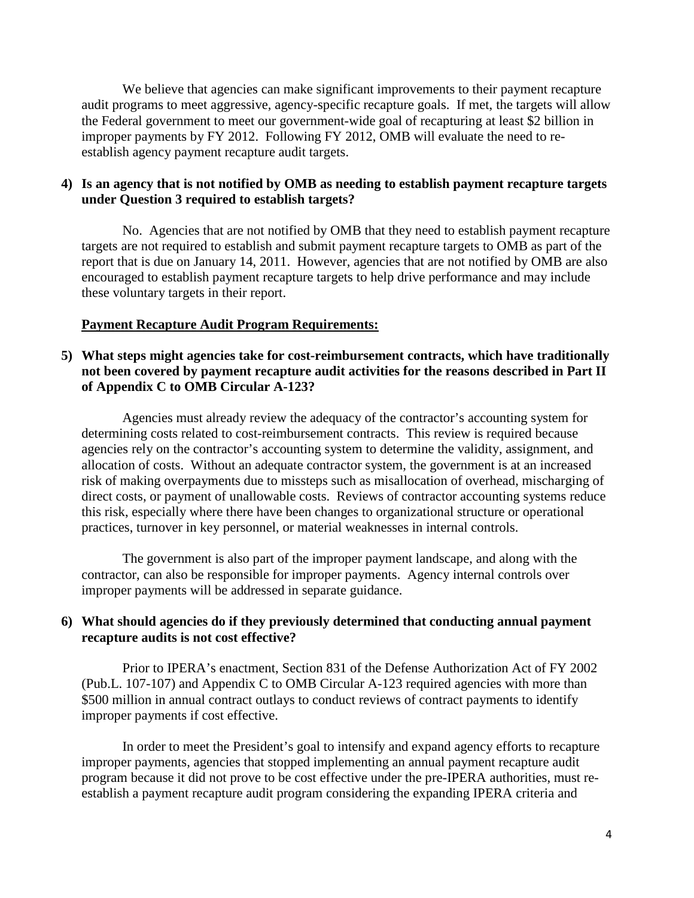We believe that agencies can make significant improvements to their payment recapture audit programs to meet aggressive, agency-specific recapture goals. If met, the targets will allow the Federal government to meet our government-wide goal of recapturing at least \$2 billion in improper payments by FY 2012. Following FY 2012, OMB will evaluate the need to reestablish agency payment recapture audit targets.

### **4) Is an agency that is not notified by OMB as needing to establish payment recapture targets under Question 3 required to establish targets?**

No. Agencies that are not notified by OMB that they need to establish payment recapture targets are not required to establish and submit payment recapture targets to OMB as part of the report that is due on January 14, 2011. However, agencies that are not notified by OMB are also encouraged to establish payment recapture targets to help drive performance and may include these voluntary targets in their report.

### **Payment Recapture Audit Program Requirements:**

### **5) What steps might agencies take for cost-reimbursement contracts, which have traditionally not been covered by payment recapture audit activities for the reasons described in Part II of Appendix C to OMB Circular A-123?**

Agencies must already review the adequacy of the contractor's accounting system for determining costs related to cost-reimbursement contracts. This review is required because agencies rely on the contractor's accounting system to determine the validity, assignment, and allocation of costs. Without an adequate contractor system, the government is at an increased risk of making overpayments due to missteps such as misallocation of overhead, mischarging of direct costs, or payment of unallowable costs. Reviews of contractor accounting systems reduce this risk, especially where there have been changes to organizational structure or operational practices, turnover in key personnel, or material weaknesses in internal controls.

 The government is also part of the improper payment landscape, and along with the contractor, can also be responsible for improper payments. Agency internal controls over improper payments will be addressed in separate guidance.

### **6) What should agencies do if they previously determined that conducting annual payment recapture audits is not cost effective?**

Prior to IPERA's enactment, Section 831 of the Defense Authorization Act of FY 2002 (Pub.L. 107-107) and Appendix C to OMB Circular A-123 required agencies with more than \$500 million in annual contract outlays to conduct reviews of contract payments to identify improper payments if cost effective.

In order to meet the President's goal to intensify and expand agency efforts to recapture improper payments, agencies that stopped implementing an annual payment recapture audit program because it did not prove to be cost effective under the pre-IPERA authorities, must reestablish a payment recapture audit program considering the expanding IPERA criteria and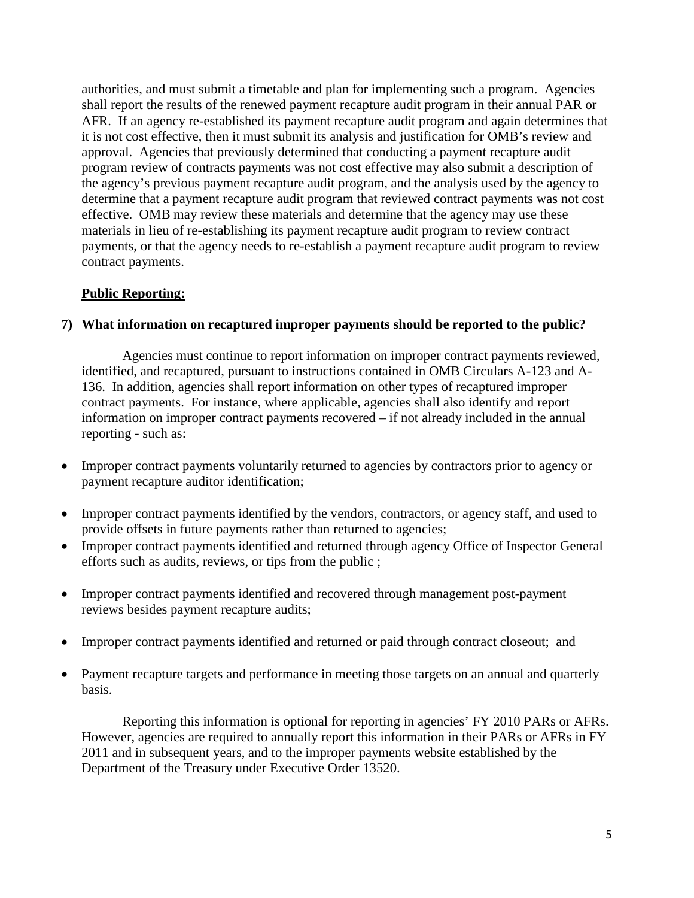authorities, and must submit a timetable and plan for implementing such a program. Agencies shall report the results of the renewed payment recapture audit program in their annual PAR or AFR. If an agency re-established its payment recapture audit program and again determines that it is not cost effective, then it must submit its analysis and justification for OMB's review and approval. Agencies that previously determined that conducting a payment recapture audit program review of contracts payments was not cost effective may also submit a description of the agency's previous payment recapture audit program, and the analysis used by the agency to determine that a payment recapture audit program that reviewed contract payments was not cost effective. OMB may review these materials and determine that the agency may use these materials in lieu of re-establishing its payment recapture audit program to review contract payments, or that the agency needs to re-establish a payment recapture audit program to review contract payments.

# **Public Reporting:**

# **7) What information on recaptured improper payments should be reported to the public?**

Agencies must continue to report information on improper contract payments reviewed, identified, and recaptured, pursuant to instructions contained in OMB Circulars A-123 and A-136. In addition, agencies shall report information on other types of recaptured improper contract payments. For instance, where applicable, agencies shall also identify and report information on improper contract payments recovered – if not already included in the annual reporting - such as:

- Improper contract payments voluntarily returned to agencies by contractors prior to agency or payment recapture auditor identification;
- Improper contract payments identified by the vendors, contractors, or agency staff, and used to provide offsets in future payments rather than returned to agencies;
- Improper contract payments identified and returned through agency Office of Inspector General efforts such as audits, reviews, or tips from the public ;
- Improper contract payments identified and recovered through management post-payment reviews besides payment recapture audits;
- Improper contract payments identified and returned or paid through contract closeout; and
- Payment recapture targets and performance in meeting those targets on an annual and quarterly basis.

 Reporting this information is optional for reporting in agencies' FY 2010 PARs or AFRs. However, agencies are required to annually report this information in their PARs or AFRs in FY 2011 and in subsequent years, and to the improper payments website established by the Department of the Treasury under Executive Order 13520.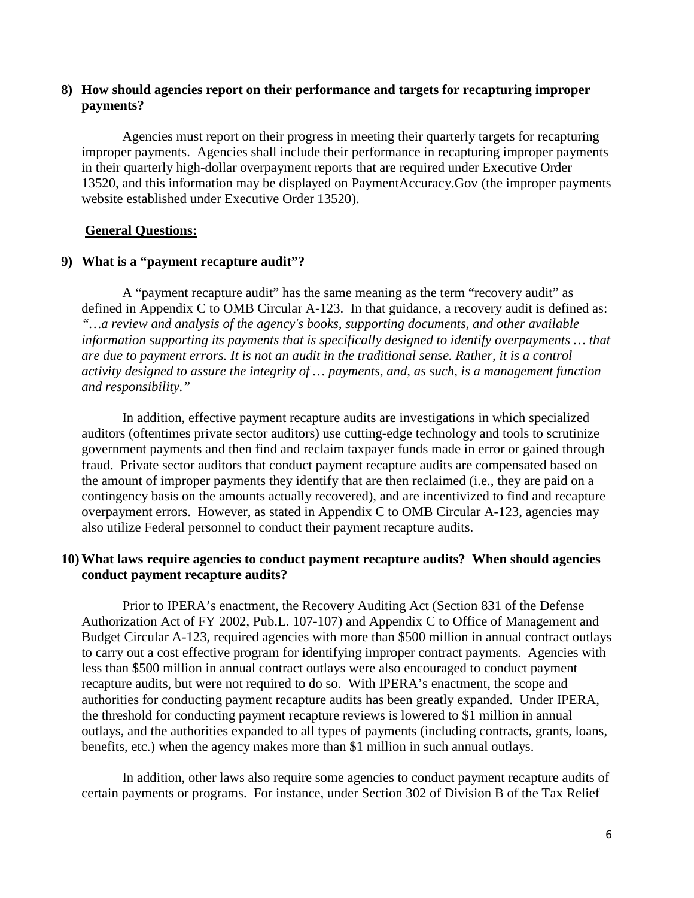### **8) How should agencies report on their performance and targets for recapturing improper payments?**

Agencies must report on their progress in meeting their quarterly targets for recapturing improper payments. Agencies shall include their performance in recapturing improper payments in their quarterly high-dollar overpayment reports that are required under Executive Order 13520, and this information may be displayed on PaymentAccuracy.Gov (the improper payments website established under Executive Order 13520).

#### **General Questions:**

### **9) What is a "payment recapture audit"?**

A "payment recapture audit" has the same meaning as the term "recovery audit" as defined in Appendix C to OMB Circular A-123. In that guidance, a recovery audit is defined as: *"…a review and analysis of the agency's books, supporting documents, and other available information supporting its payments that is specifically designed to identify overpayments … that are due to payment errors. It is not an audit in the traditional sense. Rather, it is a control activity designed to assure the integrity of … payments, and, as such, is a management function and responsibility."* 

 In addition, effective payment recapture audits are investigations in which specialized auditors (oftentimes private sector auditors) use cutting-edge technology and tools to scrutinize government payments and then find and reclaim taxpayer funds made in error or gained through fraud. Private sector auditors that conduct payment recapture audits are compensated based on the amount of improper payments they identify that are then reclaimed (i.e., they are paid on a contingency basis on the amounts actually recovered), and are incentivized to find and recapture overpayment errors. However, as stated in Appendix C to OMB Circular A-123, agencies may also utilize Federal personnel to conduct their payment recapture audits.

#### **10) What laws require agencies to conduct payment recapture audits? When should agencies conduct payment recapture audits?**

 Prior to IPERA's enactment, the Recovery Auditing Act (Section 831 of the Defense Authorization Act of FY 2002, Pub.L. 107-107) and Appendix C to Office of Management and Budget Circular A-123, required agencies with more than \$500 million in annual contract outlays to carry out a cost effective program for identifying improper contract payments. Agencies with less than \$500 million in annual contract outlays were also encouraged to conduct payment recapture audits, but were not required to do so. With IPERA's enactment, the scope and authorities for conducting payment recapture audits has been greatly expanded. Under IPERA, the threshold for conducting payment recapture reviews is lowered to \$1 million in annual outlays, and the authorities expanded to all types of payments (including contracts, grants, loans, benefits, etc.) when the agency makes more than \$1 million in such annual outlays.

 In addition, other laws also require some agencies to conduct payment recapture audits of certain payments or programs. For instance, under Section 302 of Division B of the Tax Relief